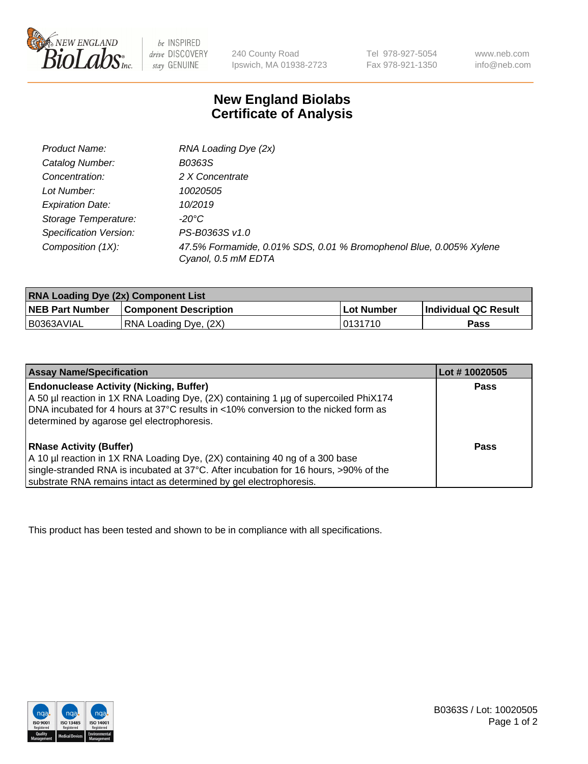

 $be$  INSPIRED drive DISCOVERY stay GENUINE

240 County Road Ipswich, MA 01938-2723 Tel 978-927-5054 Fax 978-921-1350 www.neb.com info@neb.com

## **New England Biolabs Certificate of Analysis**

| Product Name:           | RNA Loading Dye (2x)                                                                      |
|-------------------------|-------------------------------------------------------------------------------------------|
| Catalog Number:         | B0363S                                                                                    |
| Concentration:          | 2 X Concentrate                                                                           |
| Lot Number:             | 10020505                                                                                  |
| <b>Expiration Date:</b> | 10/2019                                                                                   |
| Storage Temperature:    | -20°C                                                                                     |
| Specification Version:  | PS-B0363S v1.0                                                                            |
| Composition (1X):       | 47.5% Formamide, 0.01% SDS, 0.01 % Bromophenol Blue, 0.005% Xylene<br>Cyanol, 0.5 mM EDTA |

| <b>RNA Loading Dye (2x) Component List</b> |                              |                   |                      |  |
|--------------------------------------------|------------------------------|-------------------|----------------------|--|
| <b>NEB Part Number</b>                     | <b>Component Description</b> | <b>Lot Number</b> | Individual QC Result |  |
| B0363AVIAL                                 | RNA Loading Dye, (2X)        | 10131710          | Pass                 |  |

| <b>Assay Name/Specification</b>                                                                                                                                                                                                                                             | Lot # 10020505 |
|-----------------------------------------------------------------------------------------------------------------------------------------------------------------------------------------------------------------------------------------------------------------------------|----------------|
| <b>Endonuclease Activity (Nicking, Buffer)</b><br>A 50 µl reaction in 1X RNA Loading Dye, (2X) containing 1 µg of supercoiled PhiX174<br>DNA incubated for 4 hours at 37°C results in <10% conversion to the nicked form as<br>determined by agarose gel electrophoresis.   | <b>Pass</b>    |
| <b>RNase Activity (Buffer)</b><br>A 10 µl reaction in 1X RNA Loading Dye, (2X) containing 40 ng of a 300 base<br>single-stranded RNA is incubated at 37°C. After incubation for 16 hours, >90% of the<br>substrate RNA remains intact as determined by gel electrophoresis. | Pass           |

This product has been tested and shown to be in compliance with all specifications.